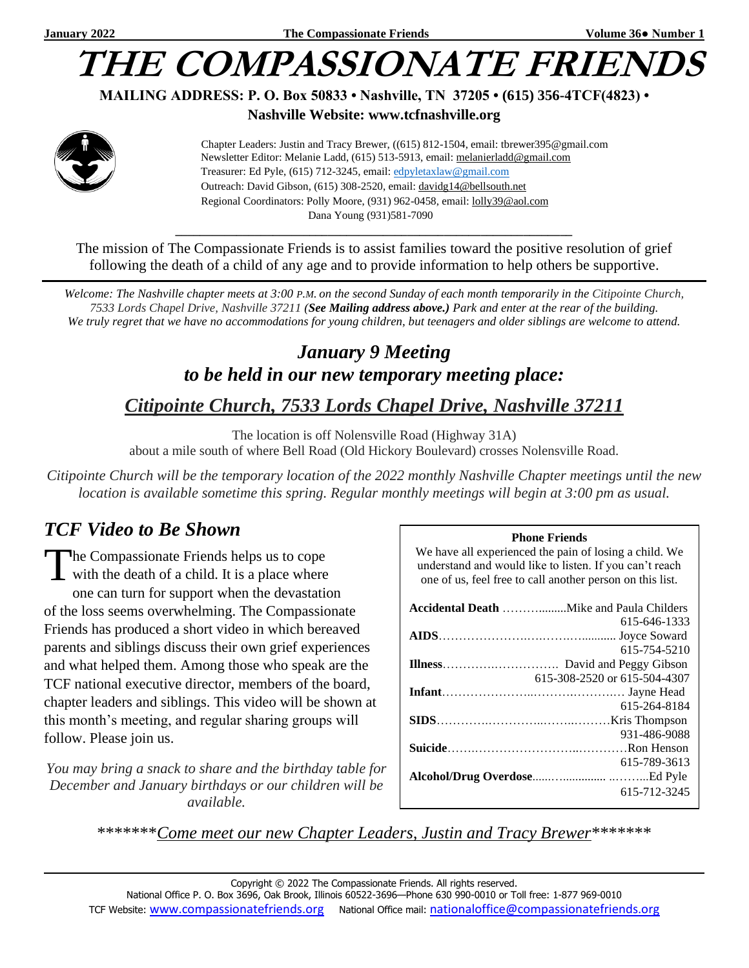## **THE COMPASSIONATE FRIEN**

#### **MAILING ADDRESS: P. O. Box 50833 • Nashville, TN 37205 • (615) 356-4TCF(4823) •**

#### **Nashville Website: www.tcfnashville.org**



 Chapter Leaders: Justin and Tracy Brewer, ((615) 812-1504, email: tbrewer395@gmail.com Newsletter Editor: Melanie Ladd, (615) 513-5913, email: [melanierladd@gmail.com](mailto:melanierladd@gmail.com)  Treasurer: Ed Pyle, (615) 712-3245, email[: edpyletaxlaw@gmail.com](mailto:edpyletaxlaw@gmail.com) Outreach: David Gibson, (615) 308-2520, email: davidg14@bellsouth.net Regional Coordinators: Polly Moore, (931) 962-0458, email: [lolly39@aol.com](mailto:lolly39@aol.com) Dana Young (931)581-7090

The mission of The Compassionate Friends is to assist families toward the positive resolution of grief following the death of a child of any age and to provide information to help others be supportive.

*\_\_\_\_\_\_\_\_\_\_\_\_\_\_\_\_\_\_\_\_\_\_\_\_\_\_\_\_\_\_\_\_\_\_\_\_\_\_\_\_\_\_\_\_\_\_\_\_\_\_\_\_\_\_\_\_\_\_\_\_\_\_\_\_\_*

*Welcome: The Nashville chapter meets at 3:00 P.M. on the second Sunday of each month temporarily in the Citipointe Church, 7533 Lords Chapel Drive, Nashville 37211 (See Mailing address above.) Park and enter at the rear of the building. We truly regret that we have no accommodations for young children, but teenagers and older siblings are welcome to attend.*

### *January 9 Meeting to be held in our new temporary meeting place: Citipointe Church, 7533 Lords Chapel Drive, Nashville 37211*

The location is off Nolensville Road (Highway 31A) about a mile south of where Bell Road (Old Hickory Boulevard) crosses Nolensville Road.

*Citipointe Church will be the temporary location of the 2022 monthly Nashville Chapter meetings until the new location is available sometime this spring. Regular monthly meetings will begin at 3:00 pm as usual.*

#### *TCF Video to Be Shown*

he Compassionate Friends helps us to cope The Compassionate Friends helps us to cope<br>with the death of a child. It is a place where one can turn for support when the devastation of the loss seems overwhelming. The Compassionate Friends has produced a short video in which bereaved parents and siblings discuss their own grief experiences and what helped them. Among those who speak are the TCF national executive director, members of the board, chapter leaders and siblings. This video will be shown at this month's meeting, and regular sharing groups will follow. Please join us.

*You may bring a snack to share and the birthday table for December and January birthdays or our children will be available.*

#### **Phone Friends**

We have all experienced the pain of losing a child. We understand and would like to listen. If you can't reach one of us, feel free to call another person on this list.

| 615-646-1333                 |
|------------------------------|
|                              |
| 615-754-5210                 |
|                              |
| 615-308-2520 or 615-504-4307 |
|                              |
| 615-264-8184                 |
|                              |
| 931-486-9088                 |
|                              |
| 615-789-3613                 |
|                              |
| 615-712-3245                 |

\*\*\*\*\*\*\**Come meet our new Chapter Leaders, Justin and Tracy Brewer*\*\*\*\*\*\*\*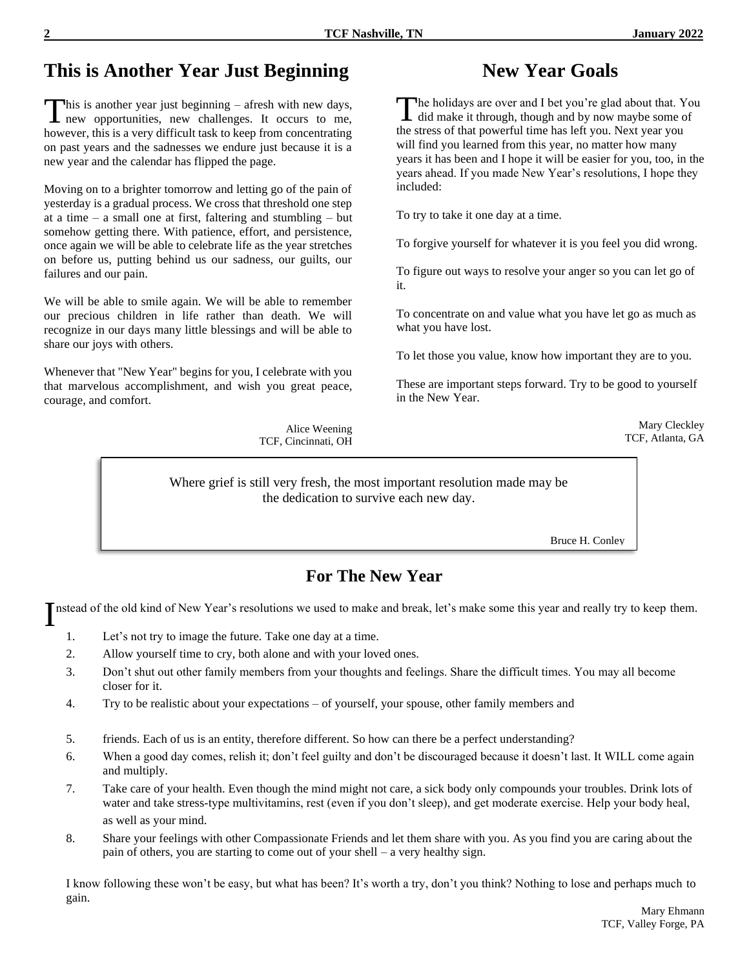#### **This is Another Year Just Beginning**

his is another year just beginning – afresh with new days, This is another year just beginning – afresh with new days,<br>
new opportunities, new challenges. It occurs to me, however, this is a very difficult task to keep from concentrating on past years and the sadnesses we endure just because it is a new year and the calendar has flipped the page.

Moving on to a brighter tomorrow and letting go of the pain of yesterday is a gradual process. We cross that threshold one step at a time – a small one at first, faltering and stumbling – but somehow getting there. With patience, effort, and persistence, once again we will be able to celebrate life as the year stretches on before us, putting behind us our sadness, our guilts, our failures and our pain.

We will be able to smile again. We will be able to remember our precious children in life rather than death. We will recognize in our days many little blessings and will be able to share our joys with others.

Whenever that "New Year" begins for you, I celebrate with you that marvelous accomplishment, and wish you great peace, courage, and comfort.

> Alice Weening TCF, Cincinnati, OH

#### **New Year Goals**

The holidays are over and I bet you're glad about that. You did make it through, though and by now maybe some of the stress of that powerful time has left you. Next year you will find you learned from this year, no matter how many years it has been and I hope it will be easier for you, too, in the years ahead. If you made New Year's resolutions, I hope they included:

To try to take it one day at a time.

To forgive yourself for whatever it is you feel you did wrong.

To figure out ways to resolve your anger so you can let go of it.

To concentrate on and value what you have let go as much as what you have lost.

To let those you value, know how important they are to you.

These are important steps forward. Try to be good to yourself in the New Year.

> Mary Cleckley TCF, Atlanta, GA

Where grief is still very fresh, the most important resolution made may be the dedication to survive each new day.

Bruce H. Conley

#### **For The New Year**

Instead of the old kind of New Year's resolutions we used to make and break, let's make some this year and really try to keep them.

- 1. Let's not try to image the future. Take one day at a time.
- 2. Allow yourself time to cry, both alone and with your loved ones.
- 3. Don't shut out other family members from your thoughts and feelings. Share the difficult times. You may all become closer for it.
- 4. Try to be realistic about your expectations of yourself, your spouse, other family members and
- 5. friends. Each of us is an entity, therefore different. So how can there be a perfect understanding?
- 6. When a good day comes, relish it; don't feel guilty and don't be discouraged because it doesn't last. It WILL come again and multiply.
- 7. Take care of your health. Even though the mind might not care, a sick body only compounds your troubles. Drink lots of water and take stress-type multivitamins, rest (even if you don't sleep), and get moderate exercise. Help your body heal, as well as your mind.
- 8. Share your feelings with other Compassionate Friends and let them share with you. As you find you are caring about the pain of others, you are starting to come out of your shell – a very healthy sign.

I know following these won't be easy, but what has been? It's worth a try, don't you think? Nothing to lose and perhaps much to gain.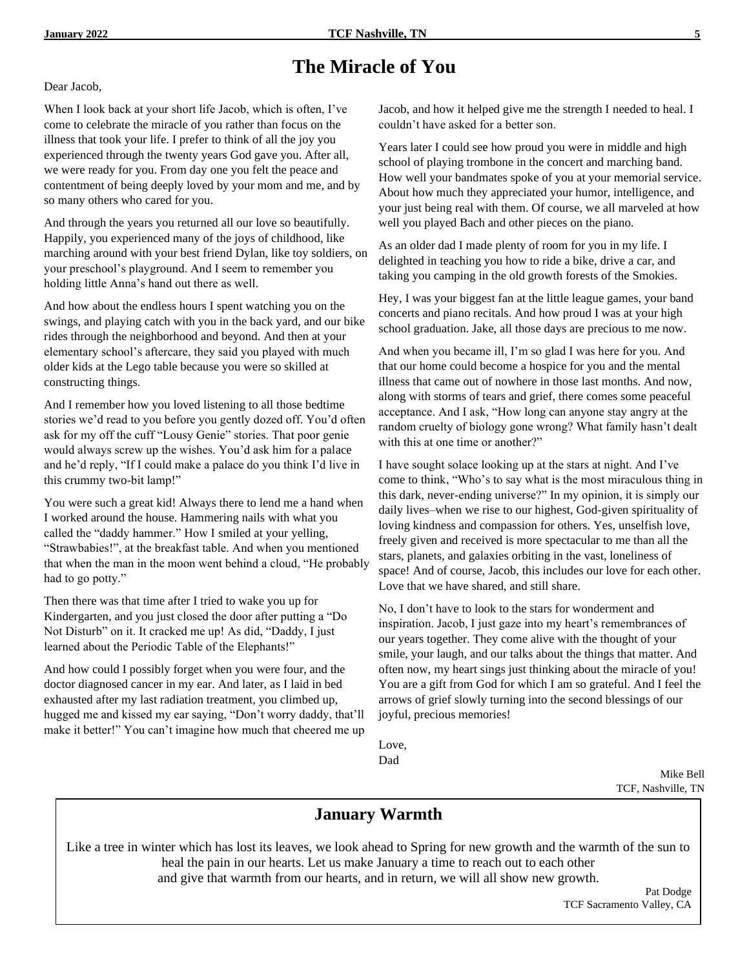#### **The Miracle of You**

Dear Jacob,

When I look back at your short life Jacob, which is often, I've come to celebrate the miracle of you rather than focus on the illness that took your life. I prefer to think of all the joy you experienced through the twenty years God gave you. After all, we were ready for you. From day one you felt the peace and contentment of being deeply loved by your mom and me, and by so many others who cared for you.

And through the years you returned all our love so beautifully. Happily, you experienced many of the joys of childhood, like marching around with your best friend Dylan, like toy soldiers, on your preschool's playground. And I seem to remember you holding little Anna's hand out there as well.

And how about the endless hours I spent watching you on the swings, and playing catch with you in the back yard, and our bike rides through the neighborhood and beyond. And then at your elementary school's aftercare, they said you played with much older kids at the Lego table because you were so skilled at constructing things.

And I remember how you loved listening to all those bedtime stories we'd read to you before you gently dozed off. You'd often ask for my off the cuff "Lousy Genie" stories. That poor genie would always screw up the wishes. You'd ask him for a palace and he'd reply, "If I could make a palace do you think I'd live in this crummy two-bit lamp!"

You were such a great kid! Always there to lend me a hand when I worked around the house. Hammering nails with what you called the "daddy hammer." How I smiled at your yelling, "Strawbabies!", at the breakfast table. And when you mentioned that when the man in the moon went behind a cloud, "He probably had to go potty."

Then there was that time after I tried to wake you up for Kindergarten, and you just closed the door after putting a "Do Not Disturb" on it. It cracked me up! As did, "Daddy, I just learned about the Periodic Table of the Elephants!"

And how could I possibly forget when you were four, and the doctor diagnosed cancer in my ear. And later, as I laid in bed exhausted after my last radiation treatment, you climbed up, hugged me and kissed my ear saying, "Don't worry daddy, that'll make it better!" You can't imagine how much that cheered me up Jacob, and how it helped give me the strength I needed to heal. I couldn't have asked for a better son.

Years later I could see how proud you were in middle and high school of playing trombone in the concert and marching band. How well your bandmates spoke of you at your memorial service. About how much they appreciated your humor, intelligence, and your just being real with them. Of course, we all marveled at how well you played Bach and other pieces on the piano.

As an older dad I made plenty of room for you in my life. I delighted in teaching you how to ride a bike, drive a car, and taking you camping in the old growth forests of the Smokies.

Hey, I was your biggest fan at the little league games, your band concerts and piano recitals. And how proud I was at your high school graduation. Jake, all those days are precious to me now.

And when you became ill, I'm so glad I was here for you. And that our home could become a hospice for you and the mental illness that came out of nowhere in those last months. And now, along with storms of tears and grief, there comes some peaceful acceptance. And I ask, "How long can anyone stay angry at the random cruelty of biology gone wrong? What family hasn't dealt with this at one time or another?"

I have sought solace looking up at the stars at night. And I've come to think, "Who's to say what is the most miraculous thing in this dark, never-ending universe?" In my opinion, it is simply our daily lives–when we rise to our highest, God-given spirituality of loving kindness and compassion for others. Yes, unselfish love, freely given and received is more spectacular to me than all the stars, planets, and galaxies orbiting in the vast, loneliness of space! And of course, Jacob, this includes our love for each other. Love that we have shared, and still share.

No, I don't have to look to the stars for wonderment and inspiration. Jacob, I just gaze into my heart's remembrances of our years together. They come alive with the thought of your smile, your laugh, and our talks about the things that matter. And often now, my heart sings just thinking about the miracle of you! You are a gift from God for which I am so grateful. And I feel the arrows of grief slowly turning into the second blessings of our joyful, precious memories!

Love, Dad

> Mike Bell TCF, Nashville, TN

#### **January Warmth**

Like a tree in winter which has lost its leaves, we look ahead to Spring for new growth and the warmth of the sun to heal the pain in our hearts. Let us make January a time to reach out to each other and give that warmth from our hearts, and in return, we will all show new growth.

> Pat Dodge TCF Sacramento Valley, CA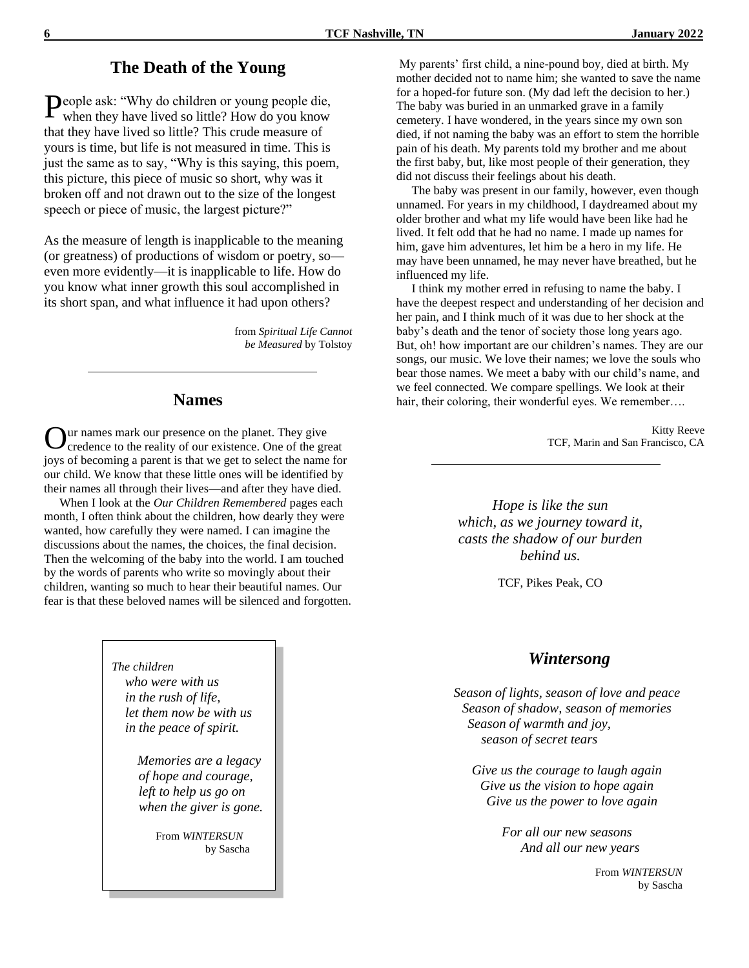#### **The Death of the Young**

People ask: "Why do children or young people die, when they have lived so little? How do you know when they have lived so little? How do you know that they have lived so little? This crude measure of yours is time, but life is not measured in time. This is just the same as to say, "Why is this saying, this poem, this picture, this piece of music so short, why was it broken off and not drawn out to the size of the longest speech or piece of music, the largest picture?"

As the measure of length is inapplicable to the meaning (or greatness) of productions of wisdom or poetry, so even more evidently—it is inapplicable to life. How do you know what inner growth this soul accomplished in its short span, and what influence it had upon others?

> from *Spiritual Life Cannot be Measured* by Tolstoy

#### **Names**

ur names mark our presence on the planet. They give credence to the reality of our existence. One of the great joys of becoming a parent is that we get to select the name for our child. We know that these little ones will be identified by their names all through their lives—and after they have died. O

 When I look at the *Our Children Remembered* pages each month, I often think about the children, how dearly they were wanted, how carefully they were named. I can imagine the discussions about the names, the choices, the final decision. Then the welcoming of the baby into the world. I am touched by the words of parents who write so movingly about their children, wanting so much to hear their beautiful names. Our fear is that these beloved names will be silenced and forgotten.

> *The children who were with us in the rush of life, let them now be with us in the peace of spirit.*

> > *Memories are a legacy of hope and courage, left to help us go on when the giver is gone.*

> > > From *WINTERSUN* by Sascha

My parents' first child, a nine-pound boy, died at birth. My mother decided not to name him; she wanted to save the name for a hoped-for future son. (My dad left the decision to her.) The baby was buried in an unmarked grave in a family cemetery. I have wondered, in the years since my own son died, if not naming the baby was an effort to stem the horrible pain of his death. My parents told my brother and me about the first baby, but, like most people of their generation, they did not discuss their feelings about his death.

 The baby was present in our family, however, even though unnamed. For years in my childhood, I daydreamed about my older brother and what my life would have been like had he lived. It felt odd that he had no name. I made up names for him, gave him adventures, let him be a hero in my life. He may have been unnamed, he may never have breathed, but he influenced my life.

 I think my mother erred in refusing to name the baby. I have the deepest respect and understanding of her decision and her pain, and I think much of it was due to her shock at the baby's death and the tenor of society those long years ago. But, oh! how important are our children's names. They are our songs, our music. We love their names; we love the souls who bear those names. We meet a baby with our child's name, and we feel connected. We compare spellings. We look at their hair, their coloring, their wonderful eyes. We remember....

> Kitty Reeve TCF, Marin and San Francisco, CA

*Hope is like the sun which, as we journey toward it, casts the shadow of our burden behind us.*

TCF, Pikes Peak, CO

#### *Wintersong*

*Season of lights, season of love and peace Season of shadow, season of memories Season of warmth and joy, season of secret tears*

*Give us the courage to laugh again Give us the vision to hope again Give us the power to love again*

> *For all our new seasons And all our new years*

> > From *WINTERSUN*  by Sascha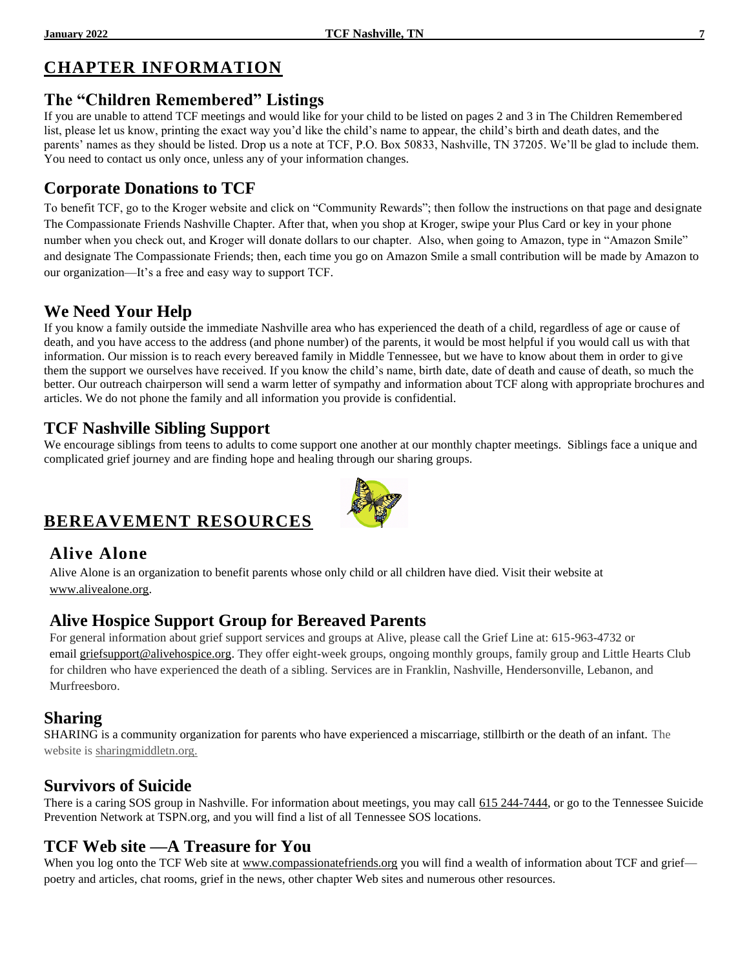#### **CHAPTER INFORMATION**

#### **The "Children Remembered" Listings**

If you are unable to attend TCF meetings and would like for your child to be listed on pages 2 and 3 in The Children Remembered list, please let us know, printing the exact way you'd like the child's name to appear, the child's birth and death dates, and the parents' names as they should be listed. Drop us a note at TCF, P.O. Box 50833, Nashville, TN 37205. We'll be glad to include them. You need to contact us only once, unless any of your information changes.

#### **Corporate Donations to TCF**

To benefit TCF, go to the Kroger website and click on "Community Rewards"; then follow the instructions on that page and designate The Compassionate Friends Nashville Chapter. After that, when you shop at Kroger, swipe your Plus Card or key in your phone number when you check out, and Kroger will donate dollars to our chapter. Also, when going to Amazon, type in "Amazon Smile" and designate The Compassionate Friends; then, each time you go on Amazon Smile a small contribution will be made by Amazon to our organization—It's a free and easy way to support TCF.

#### **We Need Your Help**

If you know a family outside the immediate Nashville area who has experienced the death of a child, regardless of age or cause of death, and you have access to the address (and phone number) of the parents, it would be most helpful if you would call us with that information. Our mission is to reach every bereaved family in Middle Tennessee, but we have to know about them in order to give them the support we ourselves have received. If you know the child's name, birth date, date of death and cause of death, so much the better. Our outreach chairperson will send a warm letter of sympathy and information about TCF along with appropriate brochures and articles. We do not phone the family and all information you provide is confidential.

#### **TCF Nashville Sibling Support**

We encourage siblings from teens to adults to come support one another at our monthly chapter meetings. Siblings face a unique and complicated grief journey and are finding hope and healing through our sharing groups.

#### **BEREAVEMENT RESOURCES**

#### **Alive Alone**

Alive Alone is an organization to benefit parents whose only child or all children have died. Visit their website at [www.alivealone.org.](http://www.alivealone.org/)

#### **Alive Hospice Support Group for Bereaved Parents**

For general information about grief support services and groups at Alive, please call the Grief Line at: 615-963-4732 or email [griefsupport@alivehospice.org.](mailto:griefsupport@alivehospice.org) They offer eight-week groups, ongoing monthly groups, family group and Little Hearts Club for children who have experienced the death of a sibling. Services are in Franklin, Nashville, Hendersonville, Lebanon, and Murfreesboro.

#### **Sharing**

SHARING is a community organization for parents who have experienced a miscarriage, stillbirth or the death of an infant. The website is sharingmiddletn.org.

#### **Survivors of Suicide**

There is a caring SOS group in Nashville. For information about meetings, you may call 615 244-7444, or go to the Tennessee Suicide Prevention Network at TSPN.org, and you will find a list of all Tennessee SOS locations.

#### **TCF Web site —A Treasure for You**

When you log onto the TCF Web site at [www.compassionatefriends.org](http://www.compassionatefriends.org/) you will find a wealth of information about TCF and grief poetry and articles, chat rooms, grief in the news, other chapter Web sites and numerous other resources.